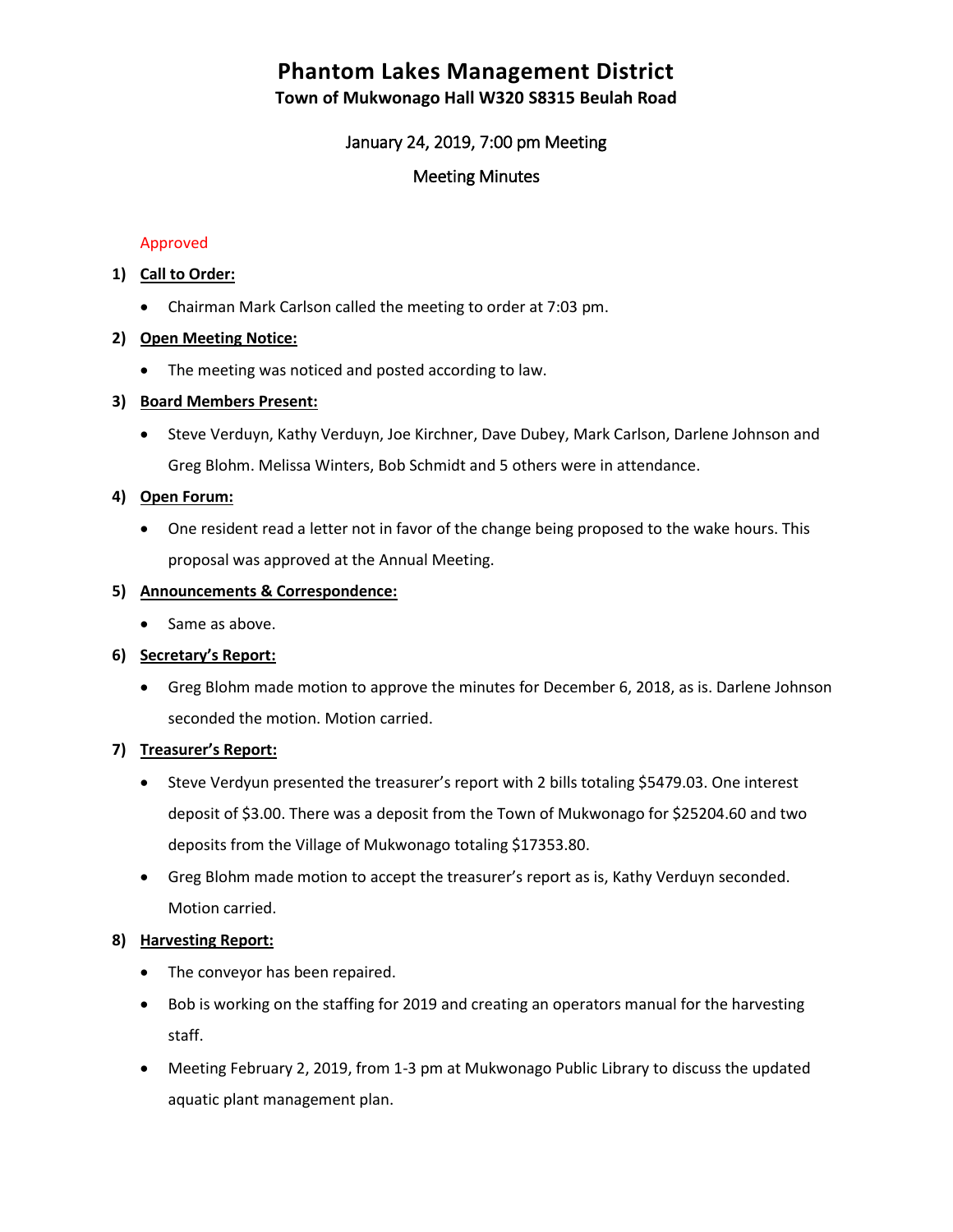# **Phantom Lakes Management District**

**Town of Mukwonago Hall W320 S8315 Beulah Road**

# January 24, 2019, 7:00 pm Meeting

# Meeting Minutes

#### Approved

#### **1) Call to Order:**

Chairman Mark Carlson called the meeting to order at 7:03 pm.

#### **2) Open Meeting Notice:**

• The meeting was noticed and posted according to law.

#### **3) Board Members Present:**

 Steve Verduyn, Kathy Verduyn, Joe Kirchner, Dave Dubey, Mark Carlson, Darlene Johnson and Greg Blohm. Melissa Winters, Bob Schmidt and 5 others were in attendance.

#### **4) Open Forum:**

 One resident read a letter not in favor of the change being proposed to the wake hours. This proposal was approved at the Annual Meeting.

#### **5) Announcements & Correspondence:**

• Same as above.

## **6) Secretary's Report:**

 Greg Blohm made motion to approve the minutes for December 6, 2018, as is. Darlene Johnson seconded the motion. Motion carried.

## **7) Treasurer's Report:**

- Steve Verdyun presented the treasurer's report with 2 bills totaling \$5479.03. One interest deposit of \$3.00. There was a deposit from the Town of Mukwonago for \$25204.60 and two deposits from the Village of Mukwonago totaling \$17353.80.
- Greg Blohm made motion to accept the treasurer's report as is, Kathy Verduyn seconded. Motion carried.

## **8) Harvesting Report:**

- The conveyor has been repaired.
- Bob is working on the staffing for 2019 and creating an operators manual for the harvesting staff.
- Meeting February 2, 2019, from 1-3 pm at Mukwonago Public Library to discuss the updated aquatic plant management plan.